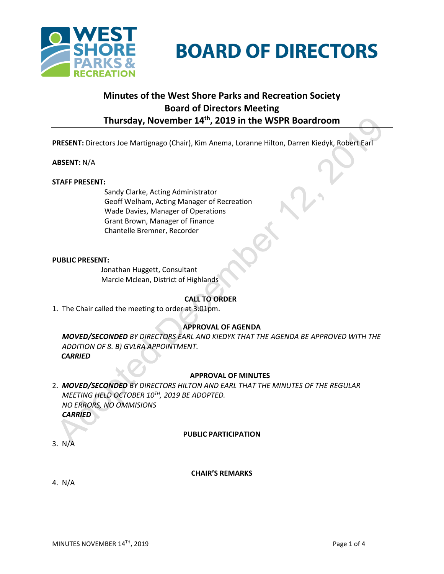

# **BOARD OF DIRECTORS**

# **Minutes of the West Shore Parks and Recreation Society Board of Directors Meeting Thursday, November 14th, 2019 in the WSPR Boardroom**

**PRESENT:** Directors Joe Martignago (Chair), Kim Anema, Loranne Hilton, Darren Kiedyk, Robert Earl

# **ABSENT:** N/A

#### **STAFF PRESENT:**

Sandy Clarke, Acting Administrator Geoff Welham, Acting Manager of Recreation Wade Davies, Manager of Operations Grant Brown, Manager of Finance Chantelle Bremner, Recorder

#### **PUBLIC PRESENT:**

Jonathan Huggett, Consultant Marcie Mclean, District of Highlands

# **CALL TO ORDER**

1. The Chair called the meeting to order at 3:01pm.

# **APPROVAL OF AGENDA**

2. *MOVED/SECONDED BY DIRECTORS EARL AND KIEDYK THAT THE AGENDA BE APPROVED WITH THE ADDITION OF 8. B) GVLRA APPOINTMENT. CARRIED*

# **APPROVAL OF MINUTES**

2. *MOVED/SECONDED BY DIRECTORS HILTON AND EARL THAT THE MINUTES OF THE REGULAR MEETING HELD OCTOBER 10TH, 2019 BE ADOPTED. NO ERRORS, NO OMMISIONS CARRIED*

#### **PUBLIC PARTICIPATION**

3. N/A

#### **CHAIR'S REMARKS**

4. N/A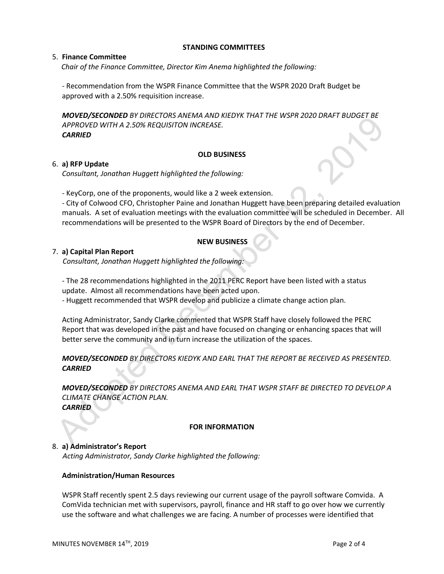#### **STANDING COMMITTEES**

#### 5. **Finance Committee**

*Chair of the Finance Committee, Director Kim Anema highlighted the following:*

- Recommendation from the WSPR Finance Committee that the WSPR 2020 Draft Budget be approved with a 2.50% requisition increase.

*MOVED/SECONDED BY DIRECTORS ANEMA AND KIEDYK THAT THE WSPR 2020 DRAFT BUDGET BE APPROVED WITH A 2.50% REQUISITON INCREASE. CARRIED*

#### **OLD BUSINESS**

#### 6. **a) RFP Update**

*Consultant, Jonathan Huggett highlighted the following:*

- KeyCorp, one of the proponents, would like a 2 week extension.

- City of Colwood CFO, Christopher Paine and Jonathan Huggett have been preparing detailed evaluation manuals. A set of evaluation meetings with the evaluation committee will be scheduled in December. All recommendations will be presented to the WSPR Board of Directors by the end of December.

# **NEW BUSINESS**

#### 7. **a) Capital Plan Report**

*Consultant, Jonathan Huggett highlighted the following:*

- The 28 recommendations highlighted in the 2011 PERC Report have been listed with a status update. Almost all recommendations have been acted upon.

- Huggett recommended that WSPR develop and publicize a climate change action plan.

Acting Administrator, Sandy Clarke commented that WSPR Staff have closely followed the PERC Report that was developed in the past and have focused on changing or enhancing spaces that will better serve the community and in turn increase the utilization of the spaces.

# *MOVED/SECONDED BY DIRECTORS KIEDYK AND EARL THAT THE REPORT BE RECEIVED AS PRESENTED. CARRIED*

*MOVED/SECONDED BY DIRECTORS ANEMA AND EARL THAT WSPR STAFF BE DIRECTED TO DEVELOP A CLIMATE CHANGE ACTION PLAN. CARRIED*

#### **FOR INFORMATION**

# 8. **a) Administrator's Report**

*Acting Administrator, Sandy Clarke highlighted the following:*

#### **Administration/Human Resources**

WSPR Staff recently spent 2.5 days reviewing our current usage of the payroll software Comvida. A ComVida technician met with supervisors, payroll, finance and HR staff to go over how we currently use the software and what challenges we are facing. A number of processes were identified that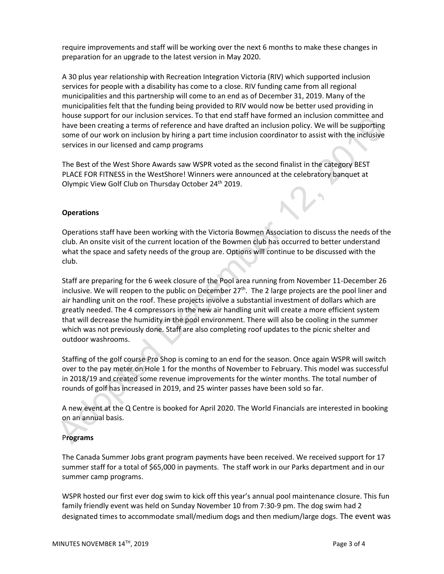require improvements and staff will be working over the next 6 months to make these changes in preparation for an upgrade to the latest version in May 2020.

A 30 plus year relationship with Recreation Integration Victoria (RIV) which supported inclusion services for people with a disability has come to a close. RIV funding came from all regional municipalities and this partnership will come to an end as of December 31, 2019. Many of the municipalities felt that the funding being provided to RIV would now be better used providing in house support for our inclusion services. To that end staff have formed an inclusion committee and have been creating a terms of reference and have drafted an inclusion policy. We will be supporting some of our work on inclusion by hiring a part time inclusion coordinator to assist with the inclusive services in our licensed and camp programs

The Best of the West Shore Awards saw WSPR voted as the second finalist in the category BEST PLACE FOR FITNESS in the WestShore! Winners were announced at the celebratory banquet at Olympic View Golf Club on Thursday October 24<sup>th</sup> 2019.

# **Operations**

Operations staff have been working with the Victoria Bowmen Association to discuss the needs of the club. An onsite visit of the current location of the Bowmen club has occurred to better understand what the space and safety needs of the group are. Options will continue to be discussed with the club.

Staff are preparing for the 6 week closure of the Pool area running from November 11-December 26 inclusive. We will reopen to the public on December 27<sup>th</sup>. The 2 large projects are the pool liner and air handling unit on the roof. These projects involve a substantial investment of dollars which are greatly needed. The 4 compressors in the new air handling unit will create a more efficient system that will decrease the humidity in the pool environment. There will also be cooling in the summer which was not previously done. Staff are also completing roof updates to the picnic shelter and outdoor washrooms.

Staffing of the golf course Pro Shop is coming to an end for the season. Once again WSPR will switch over to the pay meter on Hole 1 for the months of November to February. This model was successful in 2018/19 and created some revenue improvements for the winter months. The total number of rounds of golf has increased in 2019, and 25 winter passes have been sold so far.

A new event at the Q Centre is booked for April 2020. The World Financials are interested in booking on an annual basis.

# P**rograms**

The Canada Summer Jobs grant program payments have been received. We received support for 17 summer staff for a total of \$65,000 in payments. The staff work in our Parks department and in our summer camp programs.

WSPR hosted our first ever dog swim to kick off this year's annual pool maintenance closure. This fun family friendly event was held on Sunday November 10 from 7:30-9 pm. The dog swim had 2 designated times to accommodate small/medium dogs and then medium/large dogs. The event was